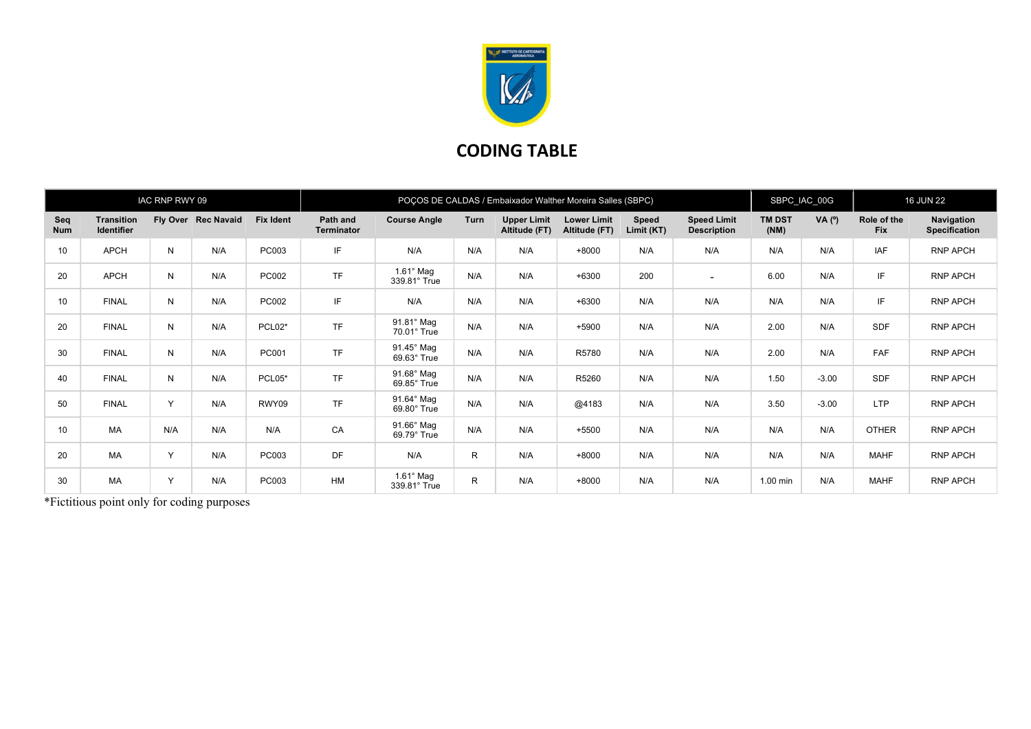

## CODING TABLE

|                   |                                        | IAC RNP RWY 09 |                     |                  | POÇOS DE CALDAS / Embaixador Walther Moreira Salles (SBPC) |                                  |              |                                     |                                     |                     |                                          |                       | SBPC IAC 00G |                           | <b>16 JUN 22</b>                   |  |
|-------------------|----------------------------------------|----------------|---------------------|------------------|------------------------------------------------------------|----------------------------------|--------------|-------------------------------------|-------------------------------------|---------------------|------------------------------------------|-----------------------|--------------|---------------------------|------------------------------------|--|
| Seq<br><b>Num</b> | <b>Transition</b><br><b>Identifier</b> |                | Fly Over Rec Navaid | <b>Fix Ident</b> | Path and<br><b>Terminator</b>                              | <b>Course Angle</b>              | Turn         | <b>Upper Limit</b><br>Altitude (FT) | <b>Lower Limit</b><br>Altitude (FT) | Speed<br>Limit (KT) | <b>Speed Limit</b><br><b>Description</b> | <b>TM DST</b><br>(NM) | VA $(°)$     | Role of the<br><b>Fix</b> | Navigation<br><b>Specification</b> |  |
| 10 <sup>1</sup>   | APCH                                   | N              | N/A                 | PC003            | IF                                                         | N/A                              | N/A          | N/A                                 | $+8000$                             | N/A                 | N/A                                      | N/A                   | N/A          | <b>IAF</b>                | RNP APCH                           |  |
| 20                | APCH                                   | N              | N/A                 | PC002            | <b>TF</b>                                                  | $1.61^\circ$ Mag<br>339.81° True | N/A          | N/A                                 | $+6300$                             | 200                 | $\sim$                                   | 6.00                  | N/A          | IF                        | RNP APCH                           |  |
| 10                | <b>FINAL</b>                           | N              | N/A                 | PC002            | IF                                                         | N/A                              | N/A          | N/A                                 | $+6300$                             | N/A                 | N/A                                      | N/A                   | N/A          | IF                        | RNP APCH                           |  |
| 20                | <b>FINAL</b>                           | N              | N/A                 | PCL02*           | <b>TF</b>                                                  | 91.81° Mag<br>70.01° True        | N/A          | N/A                                 | $+5900$                             | N/A                 | N/A                                      | 2.00                  | N/A          | <b>SDF</b>                | RNP APCH                           |  |
| 30                | <b>FINAL</b>                           | N              | N/A                 | PC001            | <b>TF</b>                                                  | 91.45° Mag<br>69.63° True        | N/A          | N/A                                 | R5780                               | N/A                 | N/A                                      | 2.00                  | N/A          | FAF                       | <b>RNP APCH</b>                    |  |
| 40                | <b>FINAL</b>                           | N              | N/A                 | PCL05*           | <b>TF</b>                                                  | 91.68° Mag<br>69.85° True        | N/A          | N/A                                 | R5260                               | N/A                 | N/A                                      | 1.50                  | $-3.00$      | <b>SDF</b>                | RNP APCH                           |  |
| 50                | <b>FINAL</b>                           | Y              | N/A                 | RWY09            | <b>TF</b>                                                  | 91.64° Mag<br>69.80° True        | N/A          | N/A                                 | @4183                               | N/A                 | N/A                                      | 3.50                  | $-3.00$      | <b>LTP</b>                | RNP APCH                           |  |
| 10                | MA                                     | N/A            | N/A                 | N/A              | CA                                                         | 91.66° Mag<br>69.79° True        | N/A          | N/A                                 | $+5500$                             | N/A                 | N/A                                      | N/A                   | N/A          | <b>OTHER</b>              | RNP APCH                           |  |
| 20                | MA                                     | $\checkmark$   | N/A                 | PC003            | DF                                                         | N/A                              | $\mathsf{R}$ | N/A                                 | $+8000$                             | N/A                 | N/A                                      | N/A                   | N/A          | <b>MAHF</b>               | RNP APCH                           |  |
| 30                | MA                                     | $\checkmark$   | N/A                 | PC003            | <b>HM</b>                                                  | $1.61^\circ$ Mag<br>339.81° True | $\mathsf{R}$ | N/A                                 | $+8000$                             | N/A                 | N/A                                      | 1.00 min              | N/A          | <b>MAHF</b>               | RNP APCH                           |  |

\*Fictitious point only for coding purposes